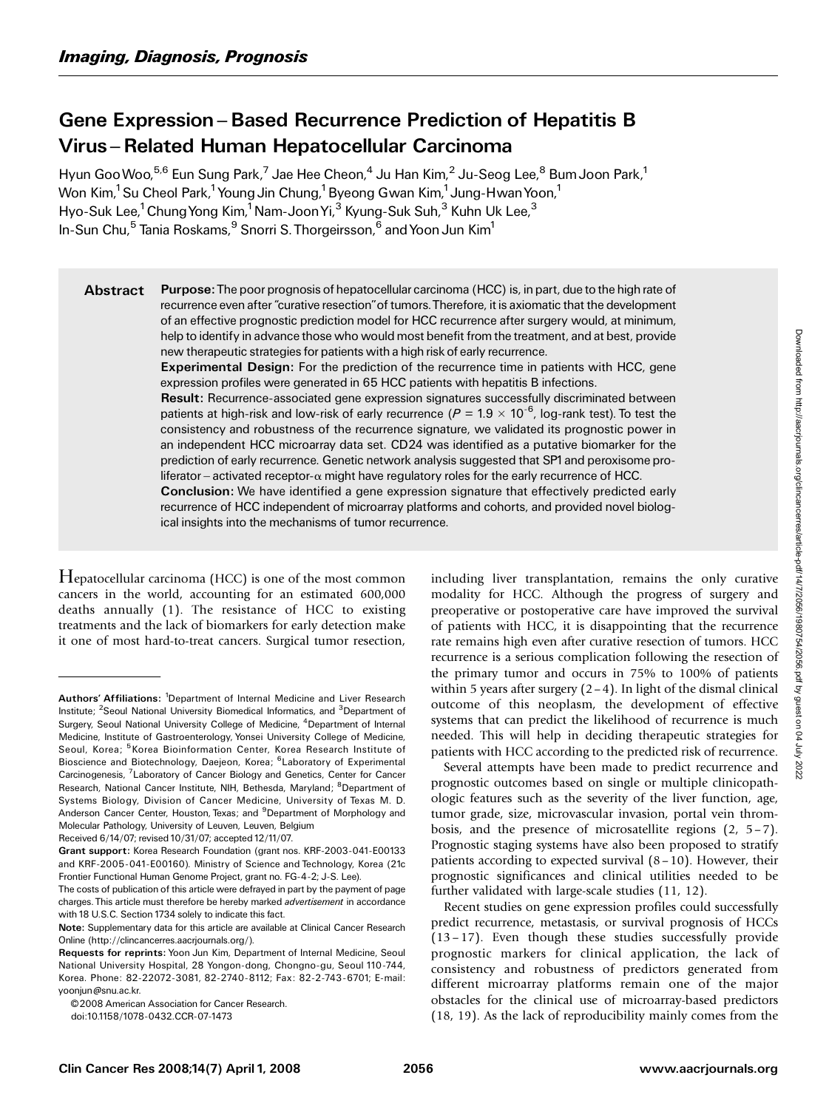# Gene Expression – Based Recurrence Prediction of Hepatitis B Virus ^ Related Human Hepatocellular Carcinoma

Hyun Goo Woo,<sup>5,6</sup> Eun Sung Park,<sup>7</sup> Jae Hee Cheon,<sup>4</sup> Ju Han Kim,<sup>2</sup> Ju-Seog Lee,<sup>8</sup> Bum Joon Park,<sup>1</sup> Won Kim,<sup>1</sup> Su Cheol Park,<sup>1</sup> Young Jin Chung,<sup>1</sup> Byeong Gwan Kim,<sup>1</sup> Jung-Hwan Yoon,<sup>1</sup> Hyo-Suk Lee,<sup>1</sup> Chung Yong Kim,<sup>1</sup> Nam-Joon Yi,<sup>3</sup> Kyung-Suk Suh,<sup>3</sup> Kuhn Uk Lee,<sup>3</sup> In-Sun Chu,<sup>5</sup> Tania Roskams,<sup>9</sup> Snorri S. Thorgeirsson,<sup>6</sup> and Yoon Jun Kim<sup>1</sup>

Abstract Purpose: The poor prognosis of hepatocellular carcinoma (HCC) is, in part, due to the high rate of recurrence even after ''curative resection''of tumors.Therefore, it is axiomatic that the development of an effective prognostic prediction model for HCC recurrence after surgery would, at minimum, help to identify in advance those who would most benefit from the treatment, and at best, provide new therapeutic strategies for patients with a high risk of early recurrence.

Experimental Design: For the prediction of the recurrence time in patients with HCC, gene expression profiles were generated in 65 HCC patients with hepatitis B infections.

Result: Recurrence-associated gene expression signatures successfully discriminated between patients at high-risk and low-risk of early recurrence ( $P = 1.9 \times 10^{-6}$ , log-rank test). To test the consistency and robustness of the recurrence signature, we validated its prognostic power in an independent HCC microarray data set. CD24 was identified as a putative biomarker for the prediction of early recurrence. Genetic network analysis suggested that SP1and peroxisome proliferator – activated receptor- $\alpha$  might have regulatory roles for the early recurrence of HCC.

Conclusion: We have identified a gene expression signature that effectively predicted early recurrence of HCC independent of microarray platforms and cohorts, and provided novel biological insights into the mechanisms of tumor recurrence.

Hepatocellular carcinoma (HCC) is one of the most common cancers in the world, accounting for an estimated 600,000 deaths annually (1). The resistance of HCC to existing treatments and the lack of biomarkers for early detection make it one of most hard-to-treat cancers. Surgical tumor resection,

including liver transplantation, remains the only curative modality for HCC. Although the progress of surgery and preoperative or postoperative care have improved the survival of patients with HCC, it is disappointing that the recurrence rate remains high even after curative resection of tumors. HCC recurrence is a serious complication following the resection of the primary tumor and occurs in 75% to 100% of patients within 5 years after surgery  $(2 - 4)$ . In light of the dismal clinical outcome of this neoplasm, the development of effective systems that can predict the likelihood of recurrence is much needed. This will help in deciding therapeutic strategies for patients with HCC according to the predicted risk of recurrence.

Several attempts have been made to predict recurrence and prognostic outcomes based on single or multiple clinicopathologic features such as the severity of the liver function, age, tumor grade, size, microvascular invasion, portal vein thrombosis, and the presence of microsatellite regions  $(2, 5-7)$ . Prognostic staging systems have also been proposed to stratify patients according to expected survival (8 – 10). However, their prognostic significances and clinical utilities needed to be further validated with large-scale studies (11, 12).

Recent studies on gene expression profiles could successfully predict recurrence, metastasis, or survival prognosis of HCCs (13 – 17). Even though these studies successfully provide prognostic markers for clinical application, the lack of consistency and robustness of predictors generated from different microarray platforms remain one of the major obstacles for the clinical use of microarray-based predictors (18, 19). As the lack of reproducibility mainly comes from the

Authors' Affiliations: <sup>1</sup>Department of Internal Medicine and Liver Research Institute; <sup>2</sup> Seoul National University Biomedical Informatics, and <sup>3</sup> Department of Surgery, Seoul National University College of Medicine, <sup>4</sup>Department of Internal Medicine, Institute of Gastroenterology, Yonsei University College of Medicine, Seoul, Korea; <sup>5</sup> Korea Bioinformation Center, Korea Research Institute of Bioscience and Biotechnology, Daejeon, Korea; <sup>6</sup>Laboratory of Experimental Carcinogenesis, <sup>7</sup> Laboratory of Cancer Biology and Genetics, Center for Cancer Research, National Cancer Institute, NIH, Bethesda, Maryland; <sup>8</sup>Department of Systems Biology, Division of Cancer Medicine, University of Texas M. D. Anderson Cancer Center, Houston, Texas; and <sup>9</sup>Department of Morphology and Molecular Pathology, University of Leuven, Leuven, Belgium

Received 6/14/07; revised 10/31/07; accepted 12/11/07.

Grant support: Korea Research Foundation (grant nos. KRF-2003-041-E00133 and KRF-2005-041-E00160). Ministry of Science and Technology, Korea (21c Frontier Functional Human Genome Project, grant no. FG-4-2; J-S. Lee).

The costs of publication of this article were defrayed in part by the payment of page charges. This article must therefore be hereby marked *advertisement* in accordance with 18 U.S.C. Section 1734 solely to indicate this fact.

Note: Supplementary data for this article are available at Clinical Cancer Research Online (http://clincancerres.aacrjournals.org/).

Requests for reprints: Yoon Jun Kim, Department of Internal Medicine, Seoul National University Hospital, 28 Yongon-dong, Chongno-gu, Seoul 110-744, Korea. Phone: 82-22072-3081, 82-2740-8112; Fax: 82-2-743-6701; E-mail: yoonjun@snu.ac.kr.

<sup>© 2008</sup> American Association for Cancer Research.

doi:10.1158/1078-0432.CCR-07-1473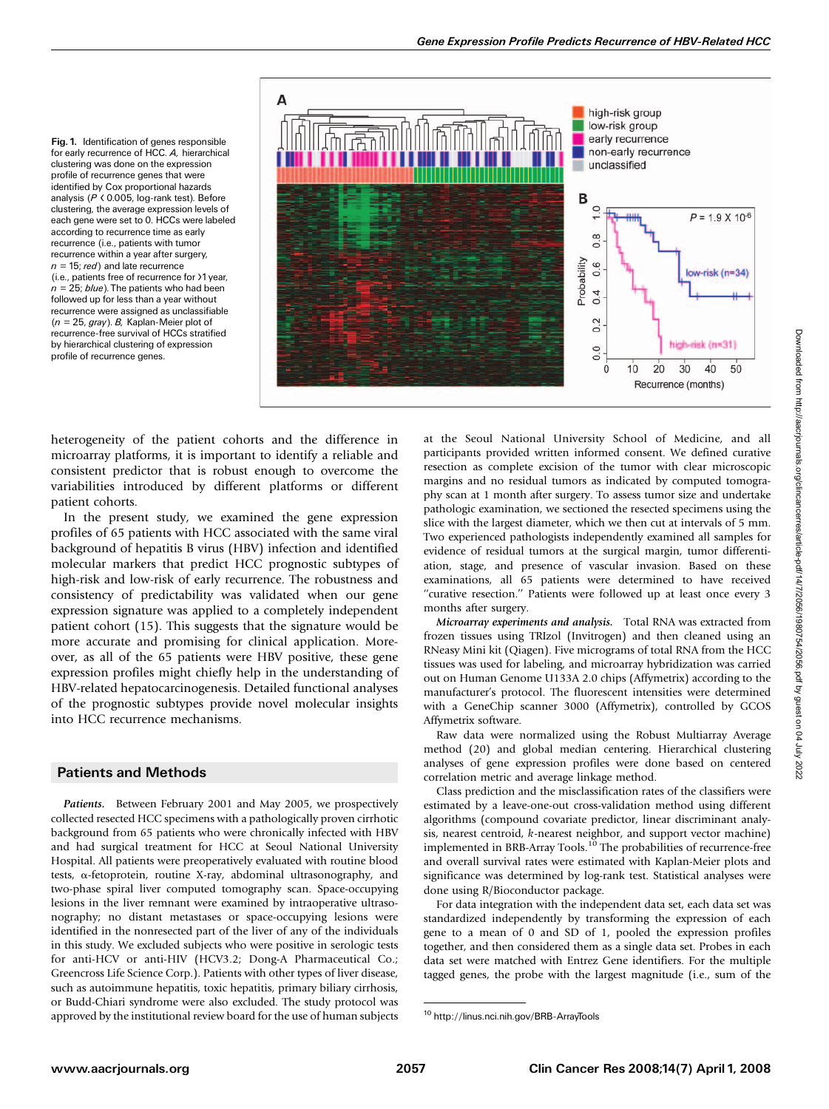Fig. 1. Identification of genes responsible for early recurrence of HCC. A, hierarchical clustering was done on the expression profile of recurrence genes that were identified by Cox proportional hazards analysis (P < 0.005, log-rank test). Before clustering, the average expression levels of each gene were set to 0. HCCs were labeled according to recurrence time as early recurrence (i.e., patients with tumor recurrence within a year after surgery,  $n = 15$ ; red) and late recurrence (i.e., patients free of recurrence for >1year,  $n = 25$ ; blue). The patients who had been followed up for less than a year without recurrence were assigned as unclassifiable  $(n = 25, gray)$ . B, Kaplan-Meier plot of recurrence-free survival of HCCs stratified by hierarchical clustering of expression profile of recurrence genes.



heterogeneity of the patient cohorts and the difference in microarray platforms, it is important to identify a reliable and consistent predictor that is robust enough to overcome the variabilities introduced by different platforms or different patient cohorts.

In the present study, we examined the gene expression profiles of 65 patients with HCC associated with the same viral background of hepatitis B virus (HBV) infection and identified molecular markers that predict HCC prognostic subtypes of high-risk and low-risk of early recurrence. The robustness and consistency of predictability was validated when our gene expression signature was applied to a completely independent patient cohort (15). This suggests that the signature would be more accurate and promising for clinical application. Moreover, as all of the 65 patients were HBV positive, these gene expression profiles might chiefly help in the understanding of HBV-related hepatocarcinogenesis. Detailed functional analyses of the prognostic subtypes provide novel molecular insights into HCC recurrence mechanisms.

## Patients and Methods

Patients. Between February 2001 and May 2005, we prospectively collected resected HCC specimens with a pathologically proven cirrhotic background from 65 patients who were chronically infected with HBV and had surgical treatment for HCC at Seoul National University Hospital. All patients were preoperatively evaluated with routine blood tests, a-fetoprotein, routine X-ray, abdominal ultrasonography, and two-phase spiral liver computed tomography scan. Space-occupying lesions in the liver remnant were examined by intraoperative ultrasonography; no distant metastases or space-occupying lesions were identified in the nonresected part of the liver of any of the individuals in this study. We excluded subjects who were positive in serologic tests for anti-HCV or anti-HIV (HCV3.2; Dong-A Pharmaceutical Co.; Greencross Life Science Corp.). Patients with other types of liver disease, such as autoimmune hepatitis, toxic hepatitis, primary biliary cirrhosis, or Budd-Chiari syndrome were also excluded. The study protocol was approved by the institutional review board for the use of human subjects at the Seoul National University School of Medicine, and all participants provided written informed consent. We defined curative resection as complete excision of the tumor with clear microscopic margins and no residual tumors as indicated by computed tomography scan at 1 month after surgery. To assess tumor size and undertake pathologic examination, we sectioned the resected specimens using the slice with the largest diameter, which we then cut at intervals of 5 mm. Two experienced pathologists independently examined all samples for evidence of residual tumors at the surgical margin, tumor differentiation, stage, and presence of vascular invasion. Based on these examinations, all 65 patients were determined to have received "curative resection." Patients were followed up at least once every 3 months after surgery.

Microarray experiments and analysis. Total RNA was extracted from frozen tissues using TRIzol (Invitrogen) and then cleaned using an RNeasy Mini kit (Qiagen). Five micrograms of total RNA from the HCC tissues was used for labeling, and microarray hybridization was carried out on Human Genome U133A 2.0 chips (Affymetrix) according to the manufacturer's protocol. The fluorescent intensities were determined with a GeneChip scanner 3000 (Affymetrix), controlled by GCOS Affymetrix software.

Raw data were normalized using the Robust Multiarray Average method (20) and global median centering. Hierarchical clustering analyses of gene expression profiles were done based on centered correlation metric and average linkage method.

Class prediction and the misclassification rates of the classifiers were estimated by a leave-one-out cross-validation method using different algorithms (compound covariate predictor, linear discriminant analysis, nearest centroid, k-nearest neighbor, and support vector machine) implemented in BRB-Array Tools.<sup>10</sup> The probabilities of recurrence-free and overall survival rates were estimated with Kaplan-Meier plots and significance was determined by log-rank test. Statistical analyses were done using R/Bioconductor package.

For data integration with the independent data set, each data set was standardized independently by transforming the expression of each gene to a mean of 0 and SD of 1, pooled the expression profiles together, and then considered them as a single data set. Probes in each data set were matched with Entrez Gene identifiers. For the multiple tagged genes, the probe with the largest magnitude (i.e., sum of the

<sup>10</sup> http://linus.nci.nih.gov/BRB-ArrayTools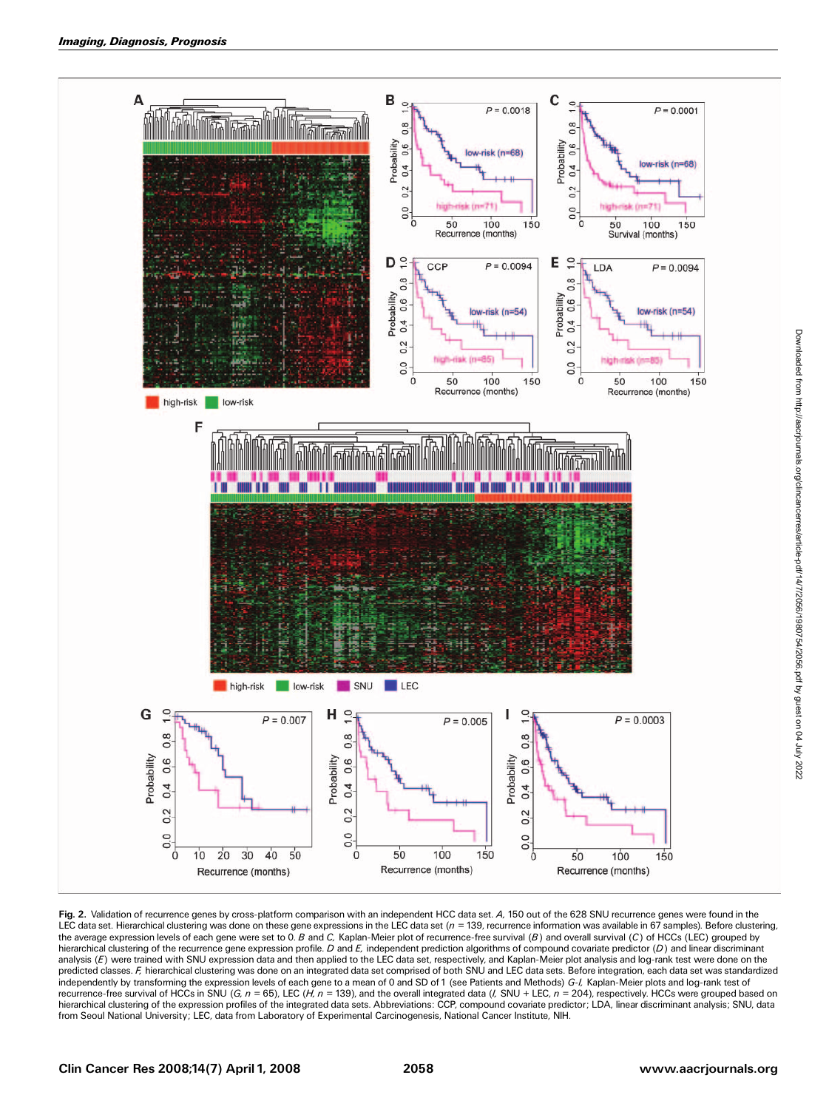

Fig. 2. Validation of recurrence genes by cross-platform comparison with an independent HCC data set. A, 150 out of the 628 SNU recurrence genes were found in the LEC data set. Hierarchical clustering was done on these gene expressions in the LEC data set (*n =* 139, recurrence information was available in 67 samples). Before clustering,<br>the average expression levels of each gene we analysis (E) were trained with SNU expression data and then applied to the LEC data set, respectively, and Kaplan-Meier plot analysis and log-rank test were done on the predicted classes. F, hierarchical clustering was done on an integrated data set comprised of both SNU and LEC data sets. Before integration, each data set was standardized independently by transforming the expression levels of each gene to a mean of 0 and SD of 1 (see Patients and Methods) G-I, Kaplan-Meier plots and log-rank test of recurrence-free survival of HCCs in SNU (G,  $n = 65$ ), LEC (H,  $n = 139$ ), and the overall integrated data (I, SNU + LEC,  $n = 204$ ), respectively. HCCs were grouped based on hierarchical clustering of the expression profiles of the integrated data sets. Abbreviations: CCP, compound covariate predictor; LDA, linear discriminant analysis; SNU, data from Seoul National University; LEC, data from Laboratory of Experimental Carcinogenesis, National Cancer Institute, NIH.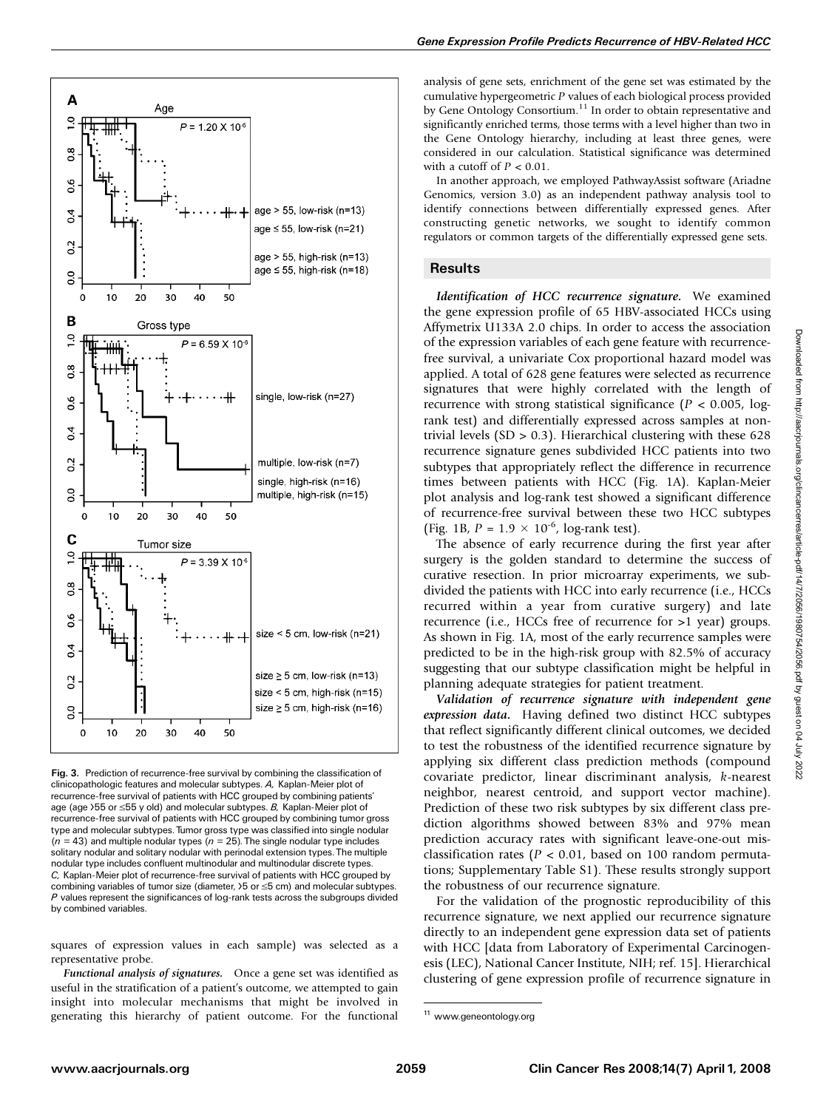

Fig. 3. Prediction of recurrence-free survival by combining the classification of clinicopathologic features and molecular subtypes. A, Kaplan-Meier plot of recurrence-free survival of patients with HCC grouped by combining patients' age (age  $55$  or  $\leq 55$  y old) and molecular subtypes. B, Kaplan-Meier plot of recurrence-free survival of patients with HCC grouped by combining tumor gross type and molecular subtypes. Tumor gross type was classified into single nodular  $(n = 43)$  and multiple nodular types  $(n = 25)$ . The single nodular type includes solitary nodular and solitary nodular with perinodal extension types. The multiple nodular type includes confluent multinodular and multinodular discrete types. C, Kaplan-Meier plot of recurrence-free survival of patients with HCC grouped by combining variables of tumor size (diameter,  $>5$  or  $\leq$ 5 cm) and molecular subtypes. P values represent the significances of log-rank tests across the subgroups divided by combined variables.

squares of expression values in each sample) was selected as a representative probe.

Functional analysis of signatures. Once a gene set was identified as useful in the stratification of a patient's outcome, we attempted to gain insight into molecular mechanisms that might be involved in generating this hierarchy of patient outcome. For the functional

analysis of gene sets, enrichment of the gene set was estimated by the cumulative hypergeometric P values of each biological process provided by Gene Ontology Consortium.<sup>11</sup> In order to obtain representative and significantly enriched terms, those terms with a level higher than two in the Gene Ontology hierarchy, including at least three genes, were considered in our calculation. Statistical significance was determined with a cutoff of  $P < 0.01$ .

In another approach, we employed PathwayAssist software (Ariadne Genomics, version 3.0) as an independent pathway analysis tool to identify connections between differentially expressed genes. After constructing genetic networks, we sought to identify common regulators or common targets of the differentially expressed gene sets.

## **Results**

Identification of HCC recurrence signature. We examined the gene expression profile of 65 HBV-associated HCCs using Affymetrix U133A 2.0 chips. In order to access the association of the expression variables of each gene feature with recurrencefree survival, a univariate Cox proportional hazard model was applied. A total of 628 gene features were selected as recurrence signatures that were highly correlated with the length of recurrence with strong statistical significance ( $P < 0.005$ , logrank test) and differentially expressed across samples at nontrivial levels  $(SD > 0.3)$ . Hierarchical clustering with these 628 recurrence signature genes subdivided HCC patients into two subtypes that appropriately reflect the difference in recurrence times between patients with HCC (Fig. 1A). Kaplan-Meier plot analysis and log-rank test showed a significant difference of recurrence-free survival between these two HCC subtypes (Fig. 1B,  $P = 1.9 \times 10^{-6}$ , log-rank test).

The absence of early recurrence during the first year after surgery is the golden standard to determine the success of curative resection. In prior microarray experiments, we subdivided the patients with HCC into early recurrence (i.e., HCCs recurred within a year from curative surgery) and late recurrence (i.e., HCCs free of recurrence for >1 year) groups. As shown in Fig. 1A, most of the early recurrence samples were predicted to be in the high-risk group with 82.5% of accuracy suggesting that our subtype classification might be helpful in planning adequate strategies for patient treatment.

Validation of recurrence signature with independent gene expression data. Having defined two distinct HCC subtypes that reflect significantly different clinical outcomes, we decided to test the robustness of the identified recurrence signature by applying six different class prediction methods (compound covariate predictor, linear discriminant analysis, k-nearest neighbor, nearest centroid, and support vector machine). Prediction of these two risk subtypes by six different class prediction algorithms showed between 83% and 97% mean prediction accuracy rates with significant leave-one-out misclassification rates ( $P < 0.01$ , based on 100 random permutations; Supplementary Table S1). These results strongly support the robustness of our recurrence signature.

For the validation of the prognostic reproducibility of this recurrence signature, we next applied our recurrence signature directly to an independent gene expression data set of patients with HCC [data from Laboratory of Experimental Carcinogenesis (LEC), National Cancer Institute, NIH; ref. 15]. Hierarchical clustering of gene expression profile of recurrence signature in

<sup>11</sup> www.geneontology.org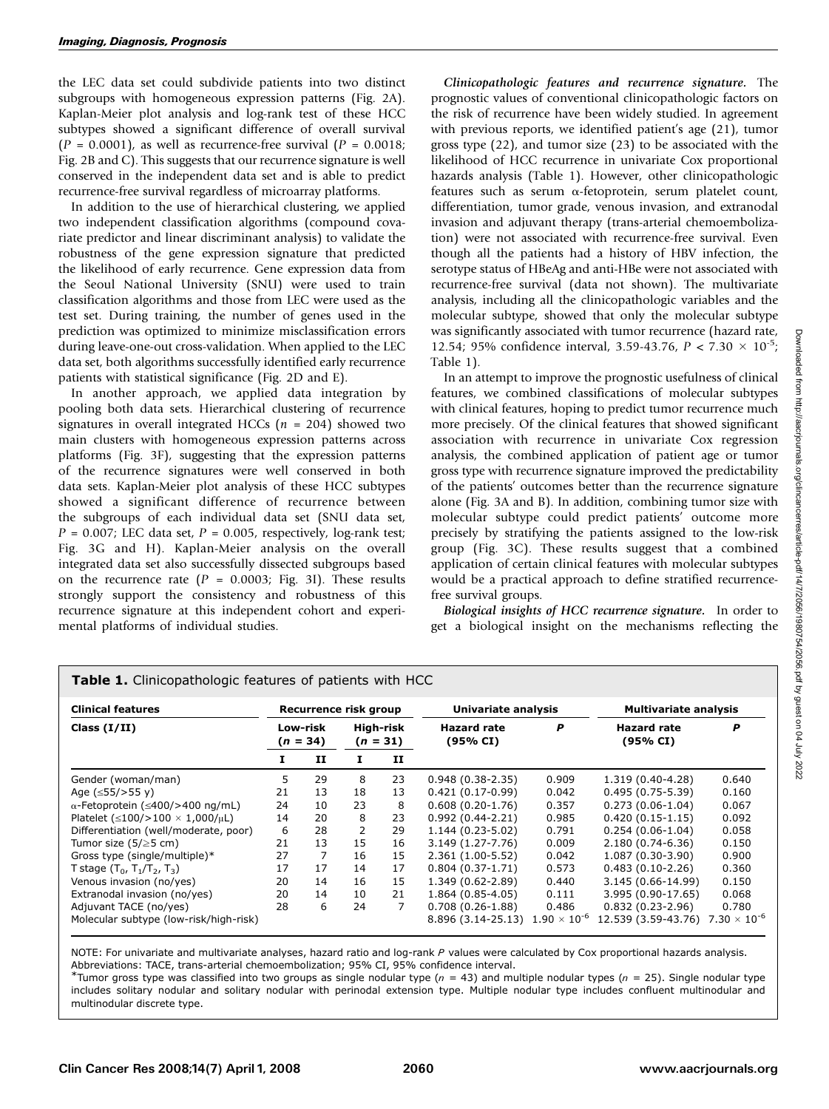the LEC data set could subdivide patients into two distinct subgroups with homogeneous expression patterns (Fig. 2A). Kaplan-Meier plot analysis and log-rank test of these HCC subtypes showed a significant difference of overall survival  $(P = 0.0001)$ , as well as recurrence-free survival  $(P = 0.0018)$ ; Fig. 2B and C). This suggests that our recurrence signature is well conserved in the independent data set and is able to predict recurrence-free survival regardless of microarray platforms.

In addition to the use of hierarchical clustering, we applied two independent classification algorithms (compound covariate predictor and linear discriminant analysis) to validate the robustness of the gene expression signature that predicted the likelihood of early recurrence. Gene expression data from the Seoul National University (SNU) were used to train classification algorithms and those from LEC were used as the test set. During training, the number of genes used in the prediction was optimized to minimize misclassification errors during leave-one-out cross-validation. When applied to the LEC data set, both algorithms successfully identified early recurrence patients with statistical significance (Fig. 2D and E).

In another approach, we applied data integration by pooling both data sets. Hierarchical clustering of recurrence signatures in overall integrated HCCs ( $n = 204$ ) showed two main clusters with homogeneous expression patterns across platforms (Fig. 3F), suggesting that the expression patterns of the recurrence signatures were well conserved in both data sets. Kaplan-Meier plot analysis of these HCC subtypes showed a significant difference of recurrence between the subgroups of each individual data set (SNU data set,  $P = 0.007$ ; LEC data set,  $P = 0.005$ , respectively, log-rank test; Fig. 3G and H). Kaplan-Meier analysis on the overall integrated data set also successfully dissected subgroups based on the recurrence rate  $(P = 0.0003;$  Fig. 31). These results strongly support the consistency and robustness of this recurrence signature at this independent cohort and experimental platforms of individual studies.

Table 1. Clinicopathologic features of patients with HCC

Clinicopathologic features and recurrence signature. The prognostic values of conventional clinicopathologic factors on the risk of recurrence have been widely studied. In agreement with previous reports, we identified patient's age (21), tumor gross type (22), and tumor size (23) to be associated with the likelihood of HCC recurrence in univariate Cox proportional hazards analysis (Table 1). However, other clinicopathologic features such as serum  $\alpha$ -fetoprotein, serum platelet count, differentiation, tumor grade, venous invasion, and extranodal invasion and adjuvant therapy (trans-arterial chemoembolization) were not associated with recurrence-free survival. Even though all the patients had a history of HBV infection, the serotype status of HBeAg and anti-HBe were not associated with recurrence-free survival (data not shown). The multivariate analysis, including all the clinicopathologic variables and the molecular subtype, showed that only the molecular subtype was significantly associated with tumor recurrence (hazard rate, 12.54; 95% confidence interval, 3.59-43.76,  $P < 7.30 \times 10^{-5}$ ; Table 1).

In an attempt to improve the prognostic usefulness of clinical features, we combined classifications of molecular subtypes with clinical features, hoping to predict tumor recurrence much more precisely. Of the clinical features that showed significant association with recurrence in univariate Cox regression analysis, the combined application of patient age or tumor gross type with recurrence signature improved the predictability of the patients' outcomes better than the recurrence signature alone (Fig. 3A and B). In addition, combining tumor size with molecular subtype could predict patients' outcome more precisely by stratifying the patients assigned to the low-risk group (Fig. 3C). These results suggest that a combined application of certain clinical features with molecular subtypes would be a practical approach to define stratified recurrencefree survival groups.

Biological insights of HCC recurrence signature. In order to get a biological insight on the mechanisms reflecting the

| <b>Clinical features</b><br>Class $(I/II)$     | Recurrence risk group  |    |                         |    | Univariate analysis                      |       | <b>Multivariate analysis</b>              |       |
|------------------------------------------------|------------------------|----|-------------------------|----|------------------------------------------|-------|-------------------------------------------|-------|
|                                                | Low-risk<br>$(n = 34)$ |    | High-risk<br>$(n = 31)$ |    | <b>Hazard rate</b><br>(95% CI)           | P     | <b>Hazard rate</b><br>(95% CI)            | P     |
|                                                | 1                      | п  | 1                       | п  |                                          |       |                                           |       |
| Gender (woman/man)                             | 5                      | 29 | 8                       | 23 | $0.948(0.38-2.35)$                       | 0.909 | 1.319 (0.40-4.28)                         | 0.640 |
| Age $(\leq 55/$ >55 y)                         | 21                     | 13 | 18                      | 13 | $0.421(0.17-0.99)$                       | 0.042 | $0.495(0.75-5.39)$                        | 0.160 |
| $\alpha$ -Fetoprotein ( $\leq$ 400/>400 ng/mL) | 24                     | 10 | 23                      | 8  | $0.608(0.20-1.76)$                       | 0.357 | $0.273(0.06-1.04)$                        | 0.067 |
| Platelet $(\leq100/>100\times1,000/\mu L)$     | 14                     | 20 | 8                       | 23 | $0.992(0.44 - 2.21)$                     | 0.985 | $0.420(0.15-1.15)$                        | 0.092 |
| Differentiation (well/moderate, poor)          | 6                      | 28 | 2                       | 29 | $1.144(0.23-5.02)$                       | 0.791 | $0.254(0.06-1.04)$                        | 0.058 |
| Tumor size ( $5/\geq 5$ cm)                    | 21                     | 13 | 15                      | 16 | $3.149(1.27 - 7.76)$                     | 0.009 | 2.180 (0.74-6.36)                         | 0.150 |
| Gross type (single/multiple)*                  | 27                     | 7  | 16                      | 15 | $2.361(1.00-5.52)$                       | 0.042 | $1.087(0.30-3.90)$                        | 0.900 |
| T stage $(T_0, T_1/T_2, T_3)$                  | 17                     | 17 | 14                      | 17 | $0.804(0.37-1.71)$                       | 0.573 | $0.483(0.10-2.26)$                        | 0.360 |
| Venous invasion (no/yes)                       | 20                     | 14 | 16                      | 15 | $1.349(0.62 - 2.89)$                     | 0.440 | 3.145 (0.66-14.99)                        | 0.150 |
| Extranodal invasion (no/yes)                   | 20                     | 14 | 10                      | 21 | $1.864(0.85-4.05)$                       | 0.111 | 3.995 (0.90-17.65)                        | 0.068 |
| Adjuvant TACE (no/yes)                         | 28                     | 6  | 24                      | 7  | $0.708(0.26-1.88)$                       | 0.486 | $0.832(0.23 - 2.96)$                      | 0.780 |
| Molecular subtype (low-risk/high-risk)         |                        |    |                         |    | 8.896 (3.14-25.13) $1.90 \times 10^{-6}$ |       | 12.539 (3.59-43.76) $7.30 \times 10^{-6}$ |       |

NOTE: For univariate and multivariate analyses, hazard ratio and log-rank P values were calculated by Cox proportional hazards analysis. Abbreviations: TACE, trans-arterial chemoembolization; 95% CI, 95% confidence interval.

 $^*$ Tumor gross type was classified into two groups as single nodular type (n = 43) and multiple nodular types (n = 25). Single nodular type includes solitary nodular and solitary nodular with perinodal extension type. Multiple nodular type includes confluent multinodular and multinodular discrete type.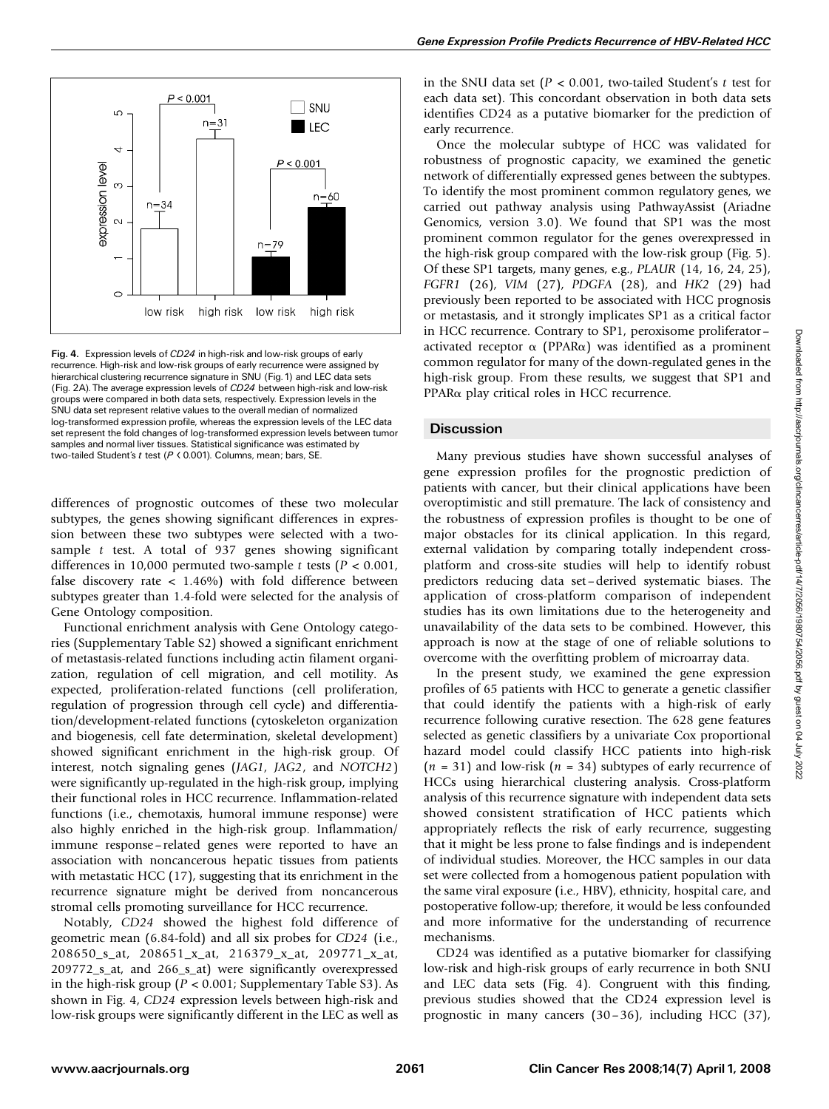

Fig. 4. Expression levels of CD24 in high-risk and low-risk groups of early recurrence. High-risk and low-risk groups of early recurrence were assigned by hierarchical clustering recurrence signature in SNU (Fig. 1) and LEC data sets (Fig. 2A). The average expression levels of CD24 between high-risk and low-risk groups were compared in both data sets, respectively. Expression levels in the SNU data set represent relative values to the overall median of normalized log-transformed expression profile, whereas the expression levels of the LEC data set represent the fold changes of log-transformed expression levels between tumor samples and normal liver tissues. Statistical significance was estimated by two-tailed Student's t test (P < 0.001). Columns, mean; bars, SE.

differences of prognostic outcomes of these two molecular subtypes, the genes showing significant differences in expression between these two subtypes were selected with a twosample t test. A total of 937 genes showing significant differences in 10,000 permuted two-sample t tests ( $P < 0.001$ , false discovery rate  $\langle 1.46\% \rangle$  with fold difference between subtypes greater than 1.4-fold were selected for the analysis of Gene Ontology composition.

Functional enrichment analysis with Gene Ontology categories (Supplementary Table S2) showed a significant enrichment of metastasis-related functions including actin filament organization, regulation of cell migration, and cell motility. As expected, proliferation-related functions (cell proliferation, regulation of progression through cell cycle) and differentiation/development-related functions (cytoskeleton organization and biogenesis, cell fate determination, skeletal development) showed significant enrichment in the high-risk group. Of interest, notch signaling genes (JAG1, JAG2, and NOTCH2) were significantly up-regulated in the high-risk group, implying their functional roles in HCC recurrence. Inflammation-related functions (i.e., chemotaxis, humoral immune response) were also highly enriched in the high-risk group. Inflammation/ immune response – related genes were reported to have an association with noncancerous hepatic tissues from patients with metastatic HCC (17), suggesting that its enrichment in the recurrence signature might be derived from noncancerous stromal cells promoting surveillance for HCC recurrence.

Notably, CD24 showed the highest fold difference of geometric mean (6.84-fold) and all six probes for CD24 (i.e., 208650\_s\_at, 208651\_x\_at, 216379\_x\_at, 209771\_x\_at, 209772\_s\_at, and 266\_s\_at) were significantly overexpressed in the high-risk group ( $P < 0.001$ ; Supplementary Table S3). As shown in Fig. 4, CD24 expression levels between high-risk and low-risk groups were significantly different in the LEC as well as in the SNU data set ( $P < 0.001$ , two-tailed Student's t test for each data set). This concordant observation in both data sets identifies CD24 as a putative biomarker for the prediction of early recurrence.

Once the molecular subtype of HCC was validated for robustness of prognostic capacity, we examined the genetic network of differentially expressed genes between the subtypes. To identify the most prominent common regulatory genes, we carried out pathway analysis using PathwayAssist (Ariadne Genomics, version 3.0). We found that SP1 was the most prominent common regulator for the genes overexpressed in the high-risk group compared with the low-risk group (Fig. 5). Of these SP1 targets, many genes, e.g., PLAUR (14, 16, 24, 25), FGFR1 (26), VIM (27), PDGFA (28), and HK2 (29) had previously been reported to be associated with HCC prognosis or metastasis, and it strongly implicates SP1 as a critical factor in HCC recurrence. Contrary to SP1, peroxisome proliferator – activated receptor  $\alpha$  (PPAR $\alpha$ ) was identified as a prominent common regulator for many of the down-regulated genes in the high-risk group. From these results, we suggest that SP1 and PPARa play critical roles in HCC recurrence.

### **Discussion**

Many previous studies have shown successful analyses of gene expression profiles for the prognostic prediction of patients with cancer, but their clinical applications have been overoptimistic and still premature. The lack of consistency and the robustness of expression profiles is thought to be one of major obstacles for its clinical application. In this regard, external validation by comparing totally independent crossplatform and cross-site studies will help to identify robust predictors reducing data set –derived systematic biases. The application of cross-platform comparison of independent studies has its own limitations due to the heterogeneity and unavailability of the data sets to be combined. However, this approach is now at the stage of one of reliable solutions to overcome with the overfitting problem of microarray data.

In the present study, we examined the gene expression profiles of 65 patients with HCC to generate a genetic classifier that could identify the patients with a high-risk of early recurrence following curative resection. The 628 gene features selected as genetic classifiers by a univariate Cox proportional hazard model could classify HCC patients into high-risk  $(n = 31)$  and low-risk  $(n = 34)$  subtypes of early recurrence of HCCs using hierarchical clustering analysis. Cross-platform analysis of this recurrence signature with independent data sets showed consistent stratification of HCC patients which appropriately reflects the risk of early recurrence, suggesting that it might be less prone to false findings and is independent of individual studies. Moreover, the HCC samples in our data set were collected from a homogenous patient population with the same viral exposure (i.e., HBV), ethnicity, hospital care, and postoperative follow-up; therefore, it would be less confounded and more informative for the understanding of recurrence mechanisms.

CD24 was identified as a putative biomarker for classifying low-risk and high-risk groups of early recurrence in both SNU and LEC data sets (Fig. 4). Congruent with this finding, previous studies showed that the CD24 expression level is prognostic in many cancers (30 –36), including HCC (37),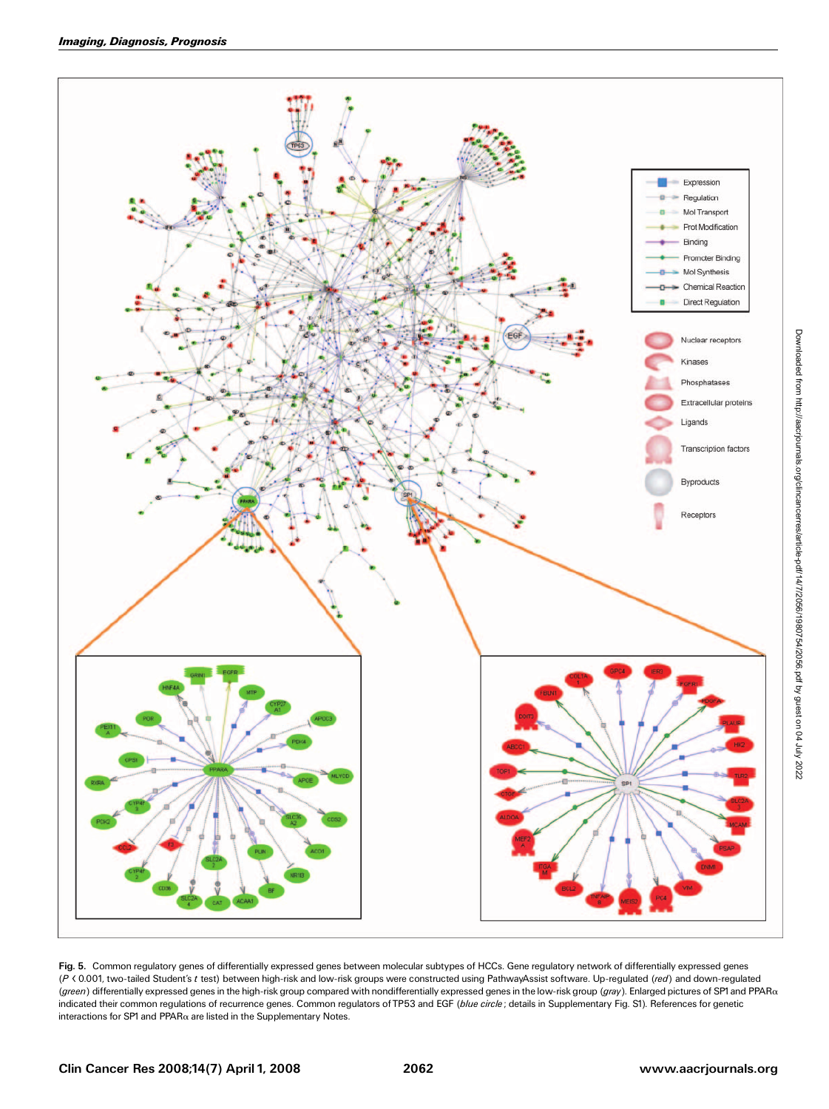

Fig. 5. Common regulatory genes of differentially expressed genes between molecular subtypes of HCCs. Gene regulatory network of differentially expressed genes (P < 0.001, two-tailed Student's t test) between high-risk and low-risk groups were constructed using PathwayAssist software. Up-regulated (red) and down-regulated (green) differentially expressed genes in the high-risk group compared with nondifferentially expressed genes in the low-risk group (gray). Enlarged pictures of SP1 and PPARa indicated their common regulations of recurrence genes. Common regulators of TP53 and EGF (blue circle; details in Supplementary Fig. S1). References for genetic interactions for SP1 and PPAR $\alpha$  are listed in the Supplementary Notes.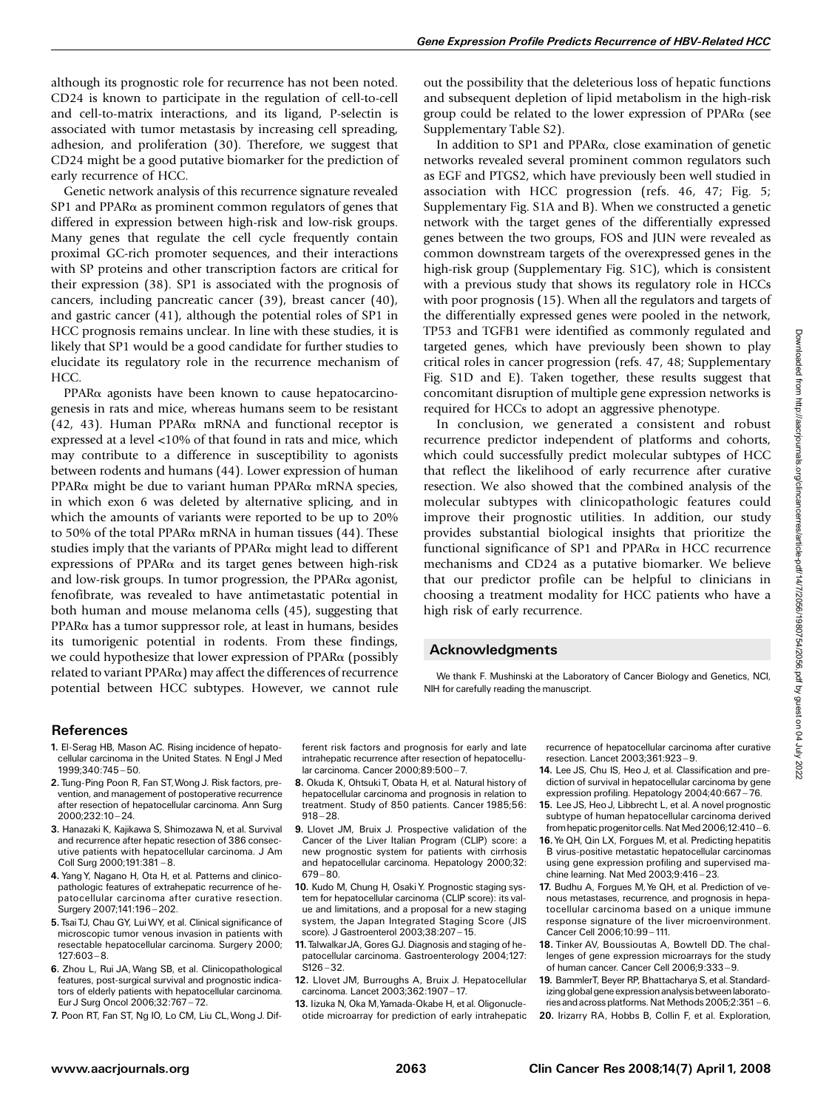although its prognostic role for recurrence has not been noted. CD24 is known to participate in the regulation of cell-to-cell and cell-to-matrix interactions, and its ligand, P-selectin is associated with tumor metastasis by increasing cell spreading, adhesion, and proliferation (30). Therefore, we suggest that CD24 might be a good putative biomarker for the prediction of early recurrence of HCC.

Genetic network analysis of this recurrence signature revealed  $SP1$  and PPAR $\alpha$  as prominent common regulators of genes that differed in expression between high-risk and low-risk groups. Many genes that regulate the cell cycle frequently contain proximal GC-rich promoter sequences, and their interactions with SP proteins and other transcription factors are critical for their expression (38). SP1 is associated with the prognosis of cancers, including pancreatic cancer (39), breast cancer (40), and gastric cancer (41), although the potential roles of SP1 in HCC prognosis remains unclear. In line with these studies, it is likely that SP1 would be a good candidate for further studies to elucidate its regulatory role in the recurrence mechanism of HCC.

PPARa agonists have been known to cause hepatocarcinogenesis in rats and mice, whereas humans seem to be resistant (42, 43). Human PPAR $\alpha$  mRNA and functional receptor is expressed at a level <10% of that found in rats and mice, which may contribute to a difference in susceptibility to agonists between rodents and humans (44). Lower expression of human PPAR $\alpha$  might be due to variant human PPAR $\alpha$  mRNA species, in which exon 6 was deleted by alternative splicing, and in which the amounts of variants were reported to be up to 20% to 50% of the total PPAR $\alpha$  mRNA in human tissues (44). These studies imply that the variants of  $PPAR\alpha$  might lead to different expressions of PPAR $\alpha$  and its target genes between high-risk and low-risk groups. In tumor progression, the PPAR $\alpha$  agonist, fenofibrate, was revealed to have antimetastatic potential in both human and mouse melanoma cells (45), suggesting that  $PPAR\alpha$  has a tumor suppressor role, at least in humans, besides its tumorigenic potential in rodents. From these findings, we could hypothesize that lower expression of PPARa (possibly related to variant  $PPAR\alpha$ ) may affect the differences of recurrence potential between HCC subtypes. However, we cannot rule out the possibility that the deleterious loss of hepatic functions and subsequent depletion of lipid metabolism in the high-risk group could be related to the lower expression of PPARa (see Supplementary Table S2).

In addition to SP1 and PPAR $\alpha$ , close examination of genetic networks revealed several prominent common regulators such as EGF and PTGS2, which have previously been well studied in association with HCC progression (refs. 46, 47; Fig. 5; Supplementary Fig. S1A and B). When we constructed a genetic network with the target genes of the differentially expressed genes between the two groups, FOS and JUN were revealed as common downstream targets of the overexpressed genes in the high-risk group (Supplementary Fig. S1C), which is consistent with a previous study that shows its regulatory role in HCCs with poor prognosis (15). When all the regulators and targets of the differentially expressed genes were pooled in the network, TP53 and TGFB1 were identified as commonly regulated and targeted genes, which have previously been shown to play critical roles in cancer progression (refs. 47, 48; Supplementary Fig. S1D and E). Taken together, these results suggest that concomitant disruption of multiple gene expression networks is required for HCCs to adopt an aggressive phenotype.

In conclusion, we generated a consistent and robust recurrence predictor independent of platforms and cohorts, which could successfully predict molecular subtypes of HCC that reflect the likelihood of early recurrence after curative resection. We also showed that the combined analysis of the molecular subtypes with clinicopathologic features could improve their prognostic utilities. In addition, our study provides substantial biological insights that prioritize the functional significance of  $SP1$  and  $PPAR\alpha$  in HCC recurrence mechanisms and CD24 as a putative biomarker. We believe that our predictor profile can be helpful to clinicians in choosing a treatment modality for HCC patients who have a high risk of early recurrence.

#### Acknowledgments

We thank F. Mushinski at the Laboratory of Cancer Biology and Genetics, NCI, NIH for carefully reading the manuscript.

### References

- 1. El-Serag HB, Mason AC. Rising incidence of hepatocellular carcinoma in the United States. N Engl J Med 1999:340:745 - 50.
- 2.Tung-Ping Poon R, Fan ST,Wong J. Risk factors, prevention, and management of postoperative recurrence after resection of hepatocellular carcinoma. Ann Surg 2000;232:10 ^ 24.
- 3. Hanazaki K, Kajikawa S, Shimozawa N, et al. Survival. and recurrence after hepatic resection of 386 consecutive patients with hepatocellular carcinoma. J Am Coll Surg  $2000; 191:381 - 8.$
- 4. Yang Y, Nagano H, Ota H, et al. Patterns and clinicopathologic features of extrahepatic recurrence of hepatocellular carcinoma after curative resection. Surgery 2007;141:196 ^ 202.
- 5.TsaiTJ, Chau GY, LuiWY, et al. Clinical significance of microscopic tumor venous invasion in patients with resectable hepatocellular carcinoma. Surgery 2000;  $127:603 - 8.$
- 6. Zhou L, Rui JA,Wang SB, et al. Clinicopathological features, post-surgical survival and prognostic indicators of elderly patients with hepatocellular carcinoma. Eur J Surg Oncol 2006;32:767-72.
- 7. Poon RT, Fan ST, Ng IO, Lo CM, Liu CL,Wong J. Dif-

ferent risk factors and prognosis for early and late intrahepatic recurrence after resection of hepatocellular carcinoma. Cancer 2000:89:500-7.

- 8. Okuda K, Ohtsuki T, Obata H, et al. Natural history of hepatocellular carcinoma and prognosis in relation to treatment. Study of 850 patients. Cancer 1985;56:  $918 - 28.$
- 9. Llovet JM, Bruix J. Prospective validation of the Cancer of the Liver Italian Program (CLIP) score: a new prognostic system for patients with cirrhosis and hepatocellular carcinoma. Hepatology 2000;32:  $679 - 80.$
- 10. Kudo M, Chung H, Osaki Y. Prognostic staging system for hepatocellular carcinoma (CLIP score): its value and limitations, and a proposal for a new staging system, the Japan Integrated Staging Score (JIS score). J Gastroenterol 2003;38:207 ^ 15.
- 11.TalwalkarJA, Gores GJ. Diagnosis and staging of hepatocellular carcinoma. Gastroenterology 2004;127:  $S126 - 32.$
- 12. Llovet JM, Burroughs A, Bruix J. Hepatocellular carcinoma. Lancet 2003;362:1907-17.
- 13. Iizuka N, Oka M, Yamada-Okabe H, et al. Oligonucleotide microarray for prediction of early intrahepatic

recurrence of hepatocellular carcinoma after curative resection. Lancet 2003;361:923-9.

- 14. Lee JS, Chu IS, Heo J, et al. Classification and prediction of survival in hepatocellular carcinoma by gene expression profiling. Hepatology 2004;40:667-76.
- 15. Lee JS, Heo J, Libbrecht L, et al. A novel prognostic subtype of human hepatocellular carcinoma derived from hepatic progenitor cells. Nat Med 2006;12:410 - 6.
- 16.Ye QH, Qin LX, Forgues M, et al. Predicting hepatitis B virus-positive metastatic hepatocellular carcinomas using gene expression profiling and supervised machine learning. Nat Med 2003;9:416-23.
- 17. Budhu A, Forgues M, Ye QH, et al. Prediction of venous metastases, recurrence, and prognosis in hepatocellular carcinoma based on a unique immune response signature of the liver microenvironment. Cancer Cell 2006;10:99-111.
- 18. Tinker AV, Boussioutas A, Bowtell DD. The challenges of gene expression microarrays for the study of human cancer. Cancer Cell 2006;9:333 ^ 9.
- 19. BammlerT, Beyer RP, Bhattacharya S, et al. Standardizing global gene expression analysis between laboratories and across platforms. Nat Methods  $2005:2:351 - 6$ .
- 20. Irizarry RA, Hobbs B, Collin F, et al. Exploration,